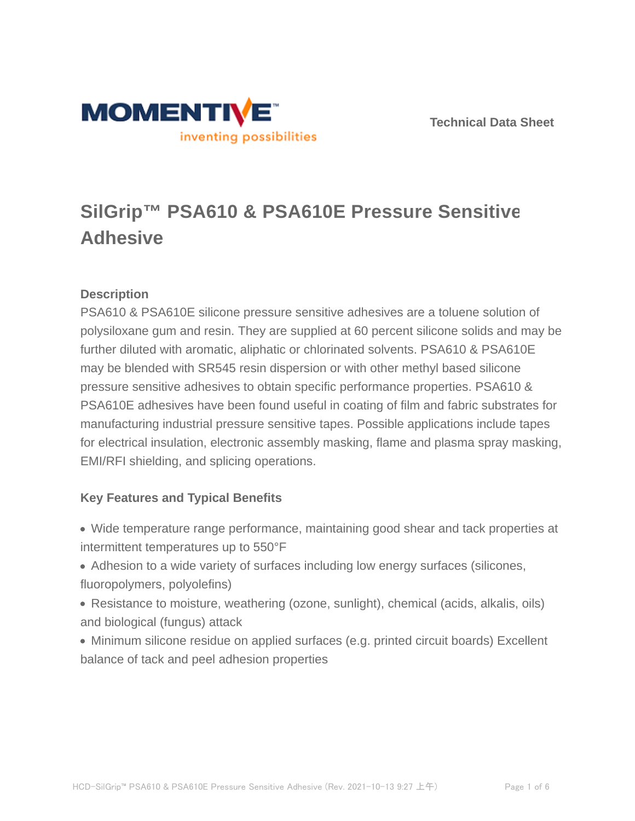



# **SilGrip™ PSA610 & PSA610E Pressure Sensitive Adhesive**

# **Description**

PSA610 & PSA610E silicone pressure sensitive adhesives are a toluene solution of polysiloxane gum and resin. They are supplied at 60 percent silicone solids and may be further diluted with aromatic, aliphatic or chlorinated solvents. PSA610 & PSA610E may be blended with SR545 resin dispersion or with other methyl based silicone pressure sensitive adhesives to obtain specific performance properties. PSA610 & PSA610E adhesives have been found useful in coating of film and fabric substrates for manufacturing industrial pressure sensitive tapes. Possible applications include tapes for electrical insulation, electronic assembly masking, flame and plasma spray masking, EMI/RFI shielding, and splicing operations.

# **Key Features and Typical Benefits**

- Wide temperature range performance, maintaining good shear and tack properties at intermittent temperatures up to 550°F
- Adhesion to a wide variety of surfaces including low energy surfaces (silicones, fluoropolymers, polyolefins)
- Resistance to moisture, weathering (ozone, sunlight), chemical (acids, alkalis, oils) and biological (fungus) attack
- Minimum silicone residue on applied surfaces (e.g. printed circuit boards) Excellent balance of tack and peel adhesion properties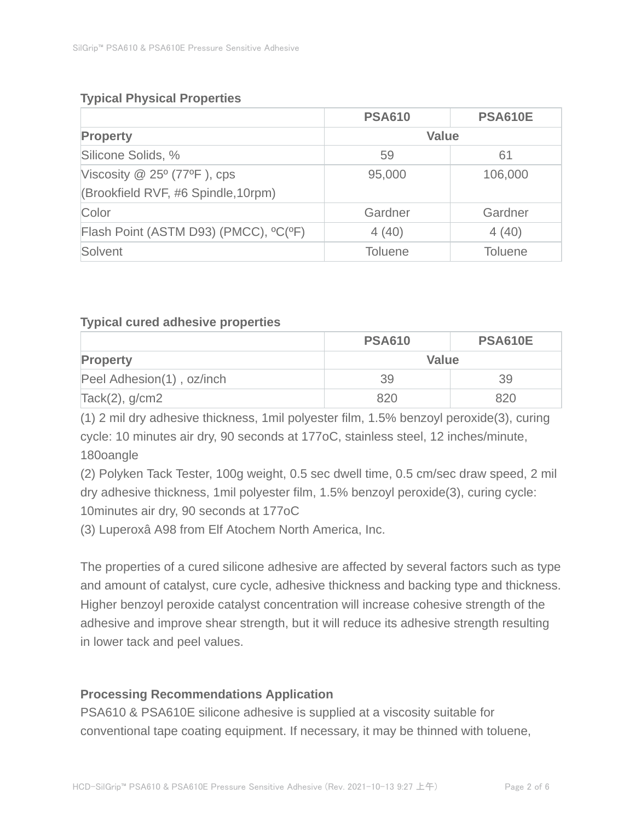# **Typical Physical Properties**

|                                       | <b>PSA610</b>  | <b>PSA610E</b> |
|---------------------------------------|----------------|----------------|
| <b>Property</b>                       | <b>Value</b>   |                |
| Silicone Solids, %                    | 59             | 61             |
| Viscosity $@$ 25 $°$ (77 $°$ F), cps  | 95,000         | 106,000        |
| (Brookfield RVF, #6 Spindle, 10rpm)   |                |                |
| Color                                 | Gardner        | Gardner        |
| Flash Point (ASTM D93) (PMCC), °C(°F) | 4(40)          | 4(40)          |
| Solvent                               | <b>Toluene</b> | <b>Toluene</b> |

### **Typical cured adhesive properties**

|                           | <b>PSA610</b> | <b>PSA610E</b> |
|---------------------------|---------------|----------------|
| <b>Property</b>           | Value         |                |
| Peel Adhesion(1), oz/inch | 39            | 39             |
| $Tack(2)$ , g/cm2         | 820           | 820            |

(1) 2 mil dry adhesive thickness, 1mil polyester film, 1.5% benzoyl peroxide(3), curing cycle: 10 minutes air dry, 90 seconds at 177oC, stainless steel, 12 inches/minute, 180oangle

(2) Polyken Tack Tester, 100g weight, 0.5 sec dwell time, 0.5 cm/sec draw speed, 2 mil dry adhesive thickness, 1mil polyester film, 1.5% benzoyl peroxide(3), curing cycle: 10minutes air dry, 90 seconds at 177oC

(3) Luperoxâ A98 from Elf Atochem North America, Inc.

The properties of a cured silicone adhesive are affected by several factors such as type and amount of catalyst, cure cycle, adhesive thickness and backing type and thickness. Higher benzoyl peroxide catalyst concentration will increase cohesive strength of the adhesive and improve shear strength, but it will reduce its adhesive strength resulting in lower tack and peel values.

# **Processing Recommendations Application**

PSA610 & PSA610E silicone adhesive is supplied at a viscosity suitable for conventional tape coating equipment. If necessary, it may be thinned with toluene,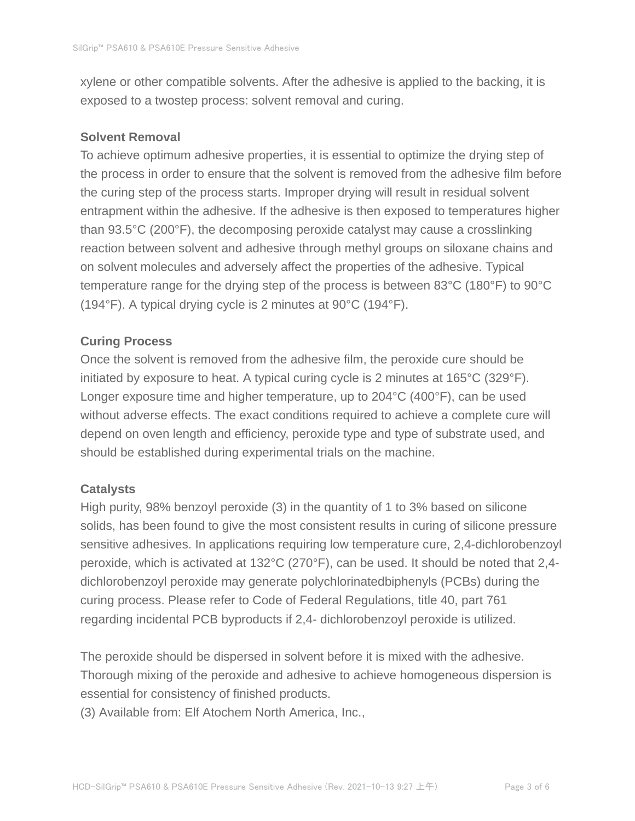xylene or other compatible solvents. After the adhesive is applied to the backing, it is exposed to a twostep process: solvent removal and curing.

#### **Solvent Removal**

To achieve optimum adhesive properties, it is essential to optimize the drying step of the process in order to ensure that the solvent is removed from the adhesive film before the curing step of the process starts. Improper drying will result in residual solvent entrapment within the adhesive. If the adhesive is then exposed to temperatures higher than 93.5°C (200°F), the decomposing peroxide catalyst may cause a crosslinking reaction between solvent and adhesive through methyl groups on siloxane chains and on solvent molecules and adversely affect the properties of the adhesive. Typical temperature range for the drying step of the process is between 83°C (180°F) to 90°C (194°F). A typical drying cycle is 2 minutes at 90°C (194°F).

### **Curing Process**

Once the solvent is removed from the adhesive film, the peroxide cure should be initiated by exposure to heat. A typical curing cycle is 2 minutes at 165°C (329°F). Longer exposure time and higher temperature, up to 204°C (400°F), can be used without adverse effects. The exact conditions required to achieve a complete cure will depend on oven length and efficiency, peroxide type and type of substrate used, and should be established during experimental trials on the machine.

### **Catalysts**

High purity, 98% benzoyl peroxide (3) in the quantity of 1 to 3% based on silicone solids, has been found to give the most consistent results in curing of silicone pressure sensitive adhesives. In applications requiring low temperature cure, 2,4-dichlorobenzoyl peroxide, which is activated at 132°C (270°F), can be used. It should be noted that 2,4 dichlorobenzoyl peroxide may generate polychlorinatedbiphenyls (PCBs) during the curing process. Please refer to Code of Federal Regulations, title 40, part 761 regarding incidental PCB byproducts if 2,4- dichlorobenzoyl peroxide is utilized.

The peroxide should be dispersed in solvent before it is mixed with the adhesive. Thorough mixing of the peroxide and adhesive to achieve homogeneous dispersion is essential for consistency of finished products.

(3) Available from: Elf Atochem North America, Inc.,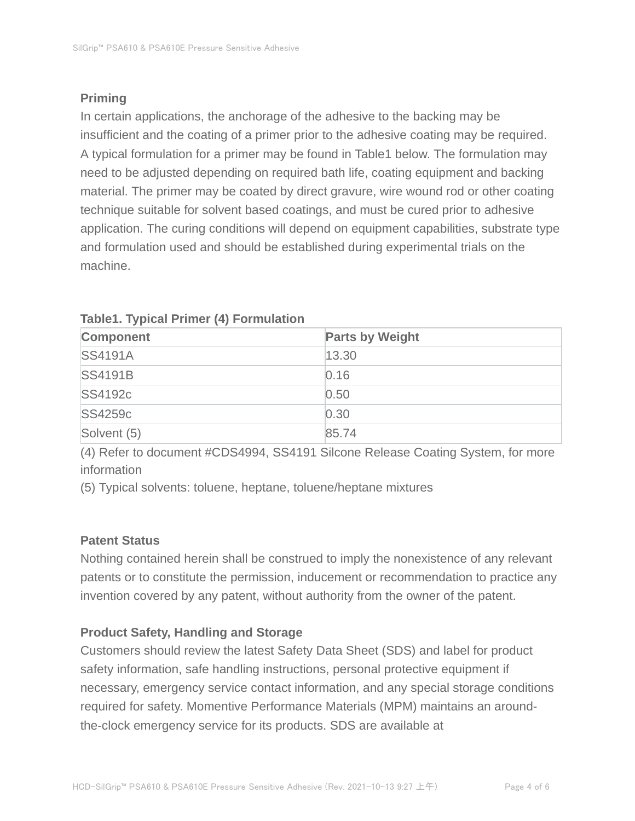# **Priming**

In certain applications, the anchorage of the adhesive to the backing may be insufficient and the coating of a primer prior to the adhesive coating may be required. A typical formulation for a primer may be found in Table1 below. The formulation may need to be adjusted depending on required bath life, coating equipment and backing material. The primer may be coated by direct gravure, wire wound rod or other coating technique suitable for solvent based coatings, and must be cured prior to adhesive application. The curing conditions will depend on equipment capabilities, substrate type and formulation used and should be established during experimental trials on the machine.

| <b>Component</b> | <b>Parts by Weight</b> |
|------------------|------------------------|
| <b>SS4191A</b>   | 13.30                  |
| <b>SS4191B</b>   | 0.16                   |
| <b>SS4192c</b>   | 0.50                   |
| SS4259c          | 0.30                   |
| Solvent (5)      | 85.74                  |

### **Table1. Typical Primer (4) Formulation**

(4) Refer to document #CDS4994, SS4191 Silcone Release Coating System, for more information

(5) Typical solvents: toluene, heptane, toluene/heptane mixtures

# **Patent Status**

Nothing contained herein shall be construed to imply the nonexistence of any relevant patents or to constitute the permission, inducement or recommendation to practice any invention covered by any patent, without authority from the owner of the patent.

# **Product Safety, Handling and Storage**

Customers should review the latest Safety Data Sheet (SDS) and label for product safety information, safe handling instructions, personal protective equipment if necessary, emergency service contact information, and any special storage conditions required for safety. Momentive Performance Materials (MPM) maintains an aroundthe-clock emergency service for its products. SDS are available at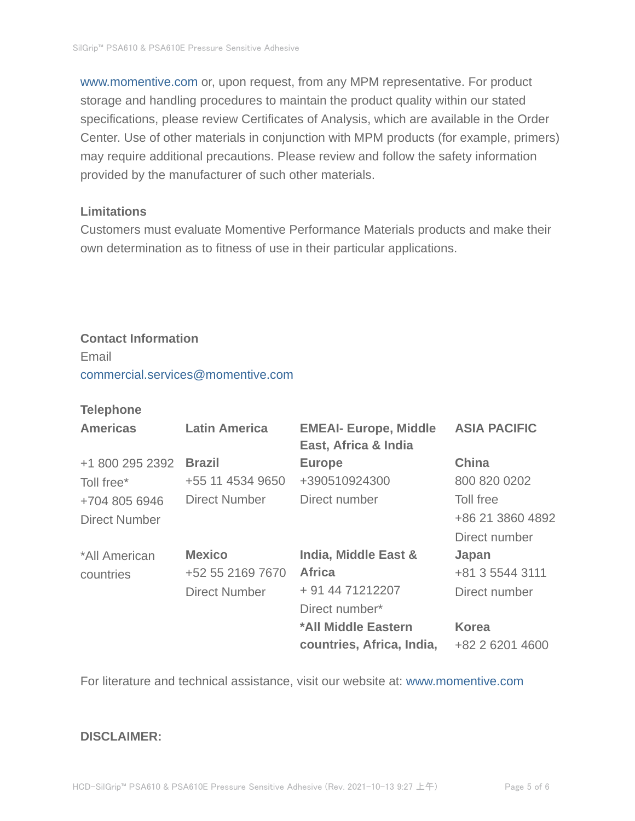www.momentive.com or, upon request, from any MPM representative. For product storage and handling procedures to maintain the product quality within our stated specifications, please review Certificates of Analysis, which are available in the Order Center. Use of other materials in conjunction with MPM products (for example, primers) may require additional precautions. Please review and follow the safety information provided by the manufacturer of such other materials.

#### **Limitations**

Customers must evaluate Momentive Performance Materials products and make their own determination as to fitness of use in their particular applications.

# **Contact Information**

Email commercial.services@momentive.com

#### **Telephone**

| <b>Americas</b> | <b>Latin America</b> | <b>EMEAI- Europe, Middle</b><br>East, Africa & India | <b>ASIA PACIFIC</b> |
|-----------------|----------------------|------------------------------------------------------|---------------------|
| +1 800 295 2392 | <b>Brazil</b>        | <b>Europe</b>                                        | <b>China</b>        |
| Toll free*      | +55 11 4534 9650     | +390510924300                                        | 800 820 0202        |
| +704 805 6946   | <b>Direct Number</b> | Direct number                                        | Toll free           |
| Direct Number   |                      |                                                      | +86 21 3860 4892    |
|                 |                      |                                                      | Direct number       |
| *All American   | <b>Mexico</b>        | <b>India, Middle East &amp;</b>                      | Japan               |
| countries       | +52 55 2169 7670     | <b>Africa</b>                                        | +81 3 5544 3111     |
|                 | <b>Direct Number</b> | + 91 44 71212207                                     | Direct number       |
|                 |                      | Direct number*                                       |                     |
|                 |                      | *All Middle Eastern                                  | <b>Korea</b>        |
|                 |                      | countries, Africa, India,                            | +82 2 6201 4600     |

For literature and technical assistance, visit our website at: www.momentive.com

#### **DISCLAIMER:**